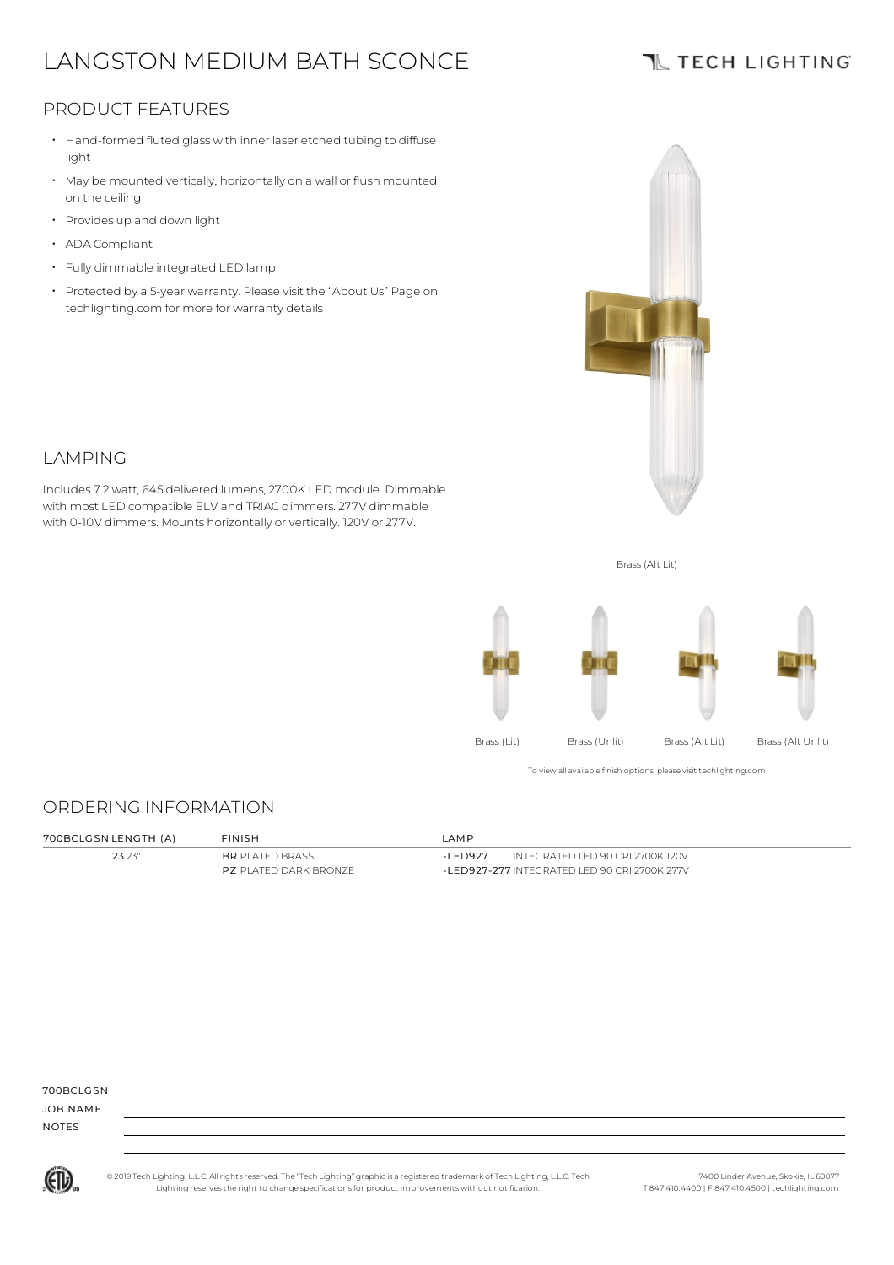# LANGSTON MEDIUM BATH SCONCE

## **TL TECH LIGHTING**

### PRODUCT FEATURES

- Hand-formed fluted glass with inner laser etched tubing to diffuse light
- May be mounted vertically, horizontally on a wall or flush mounted on the ceiling
- Provides up and down light
- ADA Compliant
- Fully dimmable integrated LED lamp
- Protected by a 5-year warranty. Please visit the "About Us" Page on techlighting.com for more for warranty details





Includes 7.2watt, 645 delivered lumens, 2700K LED module. Dimmable with most LED compatible ELV and TRIAC dimmers. 277V dimmable with 0-10V dimmers. Mounts horizontally or vertically. 120V or 277V.



To view all available finish options, please visit techlighting.com

### ORDERING INFORMATION

| 700BCLGSN LENGTH (A) | <b>FINISH</b>                 | I AMP                                         |  |
|----------------------|-------------------------------|-----------------------------------------------|--|
| 23 23"               | <b>BR</b> PLATED BRASS        | INTEGRATED LED 90 CRI 2700K 120V<br>-LED927   |  |
|                      | <b>P7</b> PI ATED DARK BRONZE | -I ED927-277 INTEGRATED LED 90 CRI 2700K 277V |  |

| 700BCLGSN |  |
|-----------|--|
|           |  |

JOB NAME NOTES

© 2019 Tech Lighting, L.L.C. All rightsreserved. The "Tech Lighting" graphicis a registered trademark of Tech Lighting, L.L.C. Tech Lighting reservesthe right to change specificationsfor product improvements without notification.